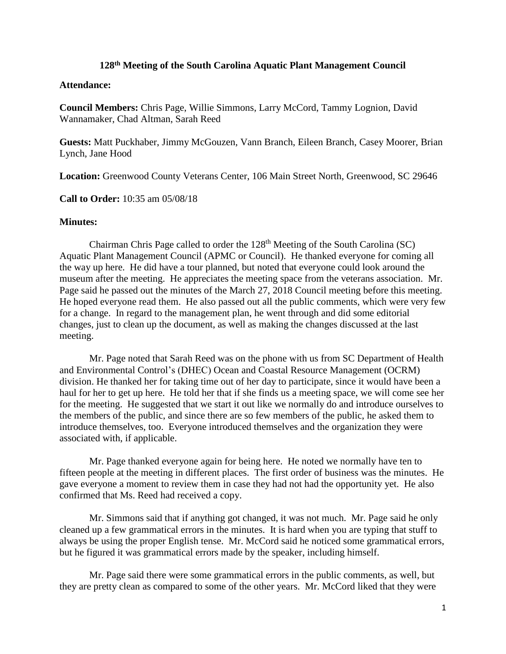## **128th Meeting of the South Carolina Aquatic Plant Management Council**

## **Attendance:**

**Council Members:** Chris Page, Willie Simmons, Larry McCord, Tammy Lognion, David Wannamaker, Chad Altman, Sarah Reed

**Guests:** Matt Puckhaber, Jimmy McGouzen, Vann Branch, Eileen Branch, Casey Moorer, Brian Lynch, Jane Hood

**Location:** Greenwood County Veterans Center, 106 Main Street North, Greenwood, SC 29646

**Call to Order:** 10:35 am 05/08/18

## **Minutes:**

Chairman Chris Page called to order the 128th Meeting of the South Carolina (SC) Aquatic Plant Management Council (APMC or Council). He thanked everyone for coming all the way up here. He did have a tour planned, but noted that everyone could look around the museum after the meeting. He appreciates the meeting space from the veterans association. Mr. Page said he passed out the minutes of the March 27, 2018 Council meeting before this meeting. He hoped everyone read them. He also passed out all the public comments, which were very few for a change. In regard to the management plan, he went through and did some editorial changes, just to clean up the document, as well as making the changes discussed at the last meeting.

Mr. Page noted that Sarah Reed was on the phone with us from SC Department of Health and Environmental Control's (DHEC) Ocean and Coastal Resource Management (OCRM) division. He thanked her for taking time out of her day to participate, since it would have been a haul for her to get up here. He told her that if she finds us a meeting space, we will come see her for the meeting. He suggested that we start it out like we normally do and introduce ourselves to the members of the public, and since there are so few members of the public, he asked them to introduce themselves, too. Everyone introduced themselves and the organization they were associated with, if applicable.

Mr. Page thanked everyone again for being here. He noted we normally have ten to fifteen people at the meeting in different places. The first order of business was the minutes. He gave everyone a moment to review them in case they had not had the opportunity yet. He also confirmed that Ms. Reed had received a copy.

Mr. Simmons said that if anything got changed, it was not much. Mr. Page said he only cleaned up a few grammatical errors in the minutes. It is hard when you are typing that stuff to always be using the proper English tense. Mr. McCord said he noticed some grammatical errors, but he figured it was grammatical errors made by the speaker, including himself.

Mr. Page said there were some grammatical errors in the public comments, as well, but they are pretty clean as compared to some of the other years. Mr. McCord liked that they were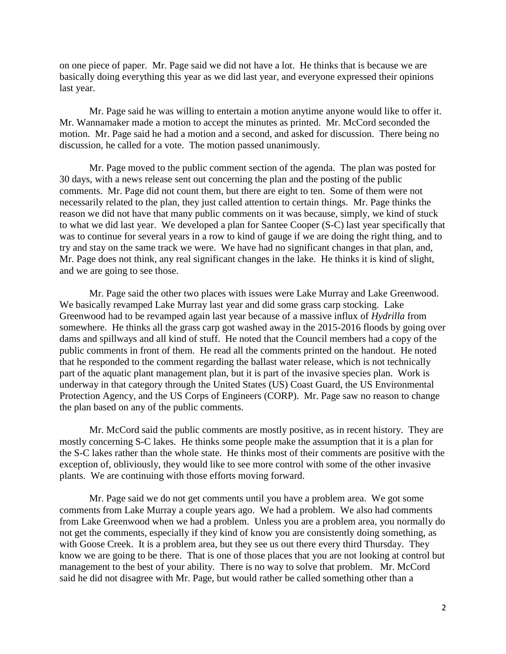on one piece of paper. Mr. Page said we did not have a lot. He thinks that is because we are basically doing everything this year as we did last year, and everyone expressed their opinions last year.

Mr. Page said he was willing to entertain a motion anytime anyone would like to offer it. Mr. Wannamaker made a motion to accept the minutes as printed. Mr. McCord seconded the motion. Mr. Page said he had a motion and a second, and asked for discussion. There being no discussion, he called for a vote. The motion passed unanimously.

Mr. Page moved to the public comment section of the agenda. The plan was posted for 30 days, with a news release sent out concerning the plan and the posting of the public comments. Mr. Page did not count them, but there are eight to ten. Some of them were not necessarily related to the plan, they just called attention to certain things. Mr. Page thinks the reason we did not have that many public comments on it was because, simply, we kind of stuck to what we did last year. We developed a plan for Santee Cooper (S-C) last year specifically that was to continue for several years in a row to kind of gauge if we are doing the right thing, and to try and stay on the same track we were. We have had no significant changes in that plan, and, Mr. Page does not think, any real significant changes in the lake. He thinks it is kind of slight, and we are going to see those.

Mr. Page said the other two places with issues were Lake Murray and Lake Greenwood. We basically revamped Lake Murray last year and did some grass carp stocking. Lake Greenwood had to be revamped again last year because of a massive influx of *Hydrilla* from somewhere. He thinks all the grass carp got washed away in the 2015-2016 floods by going over dams and spillways and all kind of stuff. He noted that the Council members had a copy of the public comments in front of them. He read all the comments printed on the handout. He noted that he responded to the comment regarding the ballast water release, which is not technically part of the aquatic plant management plan, but it is part of the invasive species plan. Work is underway in that category through the United States (US) Coast Guard, the US Environmental Protection Agency, and the US Corps of Engineers (CORP). Mr. Page saw no reason to change the plan based on any of the public comments.

Mr. McCord said the public comments are mostly positive, as in recent history. They are mostly concerning S-C lakes. He thinks some people make the assumption that it is a plan for the S-C lakes rather than the whole state. He thinks most of their comments are positive with the exception of, obliviously, they would like to see more control with some of the other invasive plants. We are continuing with those efforts moving forward.

Mr. Page said we do not get comments until you have a problem area. We got some comments from Lake Murray a couple years ago. We had a problem. We also had comments from Lake Greenwood when we had a problem. Unless you are a problem area, you normally do not get the comments, especially if they kind of know you are consistently doing something, as with Goose Creek. It is a problem area, but they see us out there every third Thursday. They know we are going to be there. That is one of those places that you are not looking at control but management to the best of your ability. There is no way to solve that problem. Mr. McCord said he did not disagree with Mr. Page, but would rather be called something other than a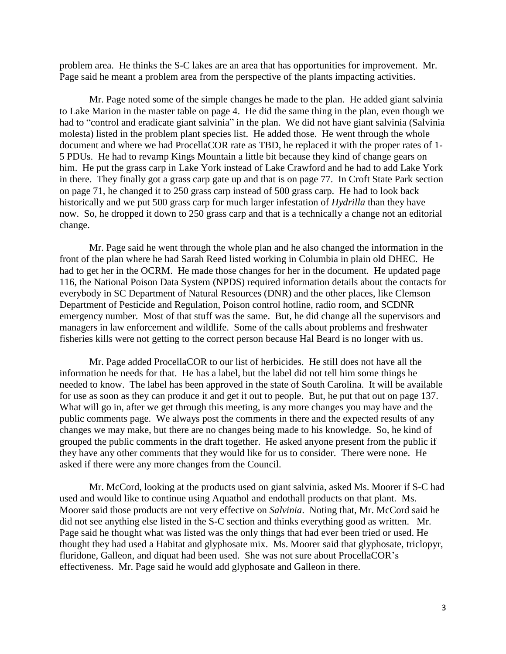problem area. He thinks the S-C lakes are an area that has opportunities for improvement. Mr. Page said he meant a problem area from the perspective of the plants impacting activities.

Mr. Page noted some of the simple changes he made to the plan. He added giant salvinia to Lake Marion in the master table on page 4. He did the same thing in the plan, even though we had to "control and eradicate giant salvinia" in the plan. We did not have giant salvinia (Salvinia molesta) listed in the problem plant species list. He added those. He went through the whole document and where we had ProcellaCOR rate as TBD, he replaced it with the proper rates of 1- 5 PDUs. He had to revamp Kings Mountain a little bit because they kind of change gears on him. He put the grass carp in Lake York instead of Lake Crawford and he had to add Lake York in there. They finally got a grass carp gate up and that is on page 77. In Croft State Park section on page 71, he changed it to 250 grass carp instead of 500 grass carp. He had to look back historically and we put 500 grass carp for much larger infestation of *Hydrilla* than they have now. So, he dropped it down to 250 grass carp and that is a technically a change not an editorial change.

Mr. Page said he went through the whole plan and he also changed the information in the front of the plan where he had Sarah Reed listed working in Columbia in plain old DHEC. He had to get her in the OCRM. He made those changes for her in the document. He updated page 116, the National Poison Data System (NPDS) required information details about the contacts for everybody in SC Department of Natural Resources (DNR) and the other places, like Clemson Department of Pesticide and Regulation, Poison control hotline, radio room, and SCDNR emergency number. Most of that stuff was the same. But, he did change all the supervisors and managers in law enforcement and wildlife. Some of the calls about problems and freshwater fisheries kills were not getting to the correct person because Hal Beard is no longer with us.

Mr. Page added ProcellaCOR to our list of herbicides. He still does not have all the information he needs for that. He has a label, but the label did not tell him some things he needed to know. The label has been approved in the state of South Carolina. It will be available for use as soon as they can produce it and get it out to people. But, he put that out on page 137. What will go in, after we get through this meeting, is any more changes you may have and the public comments page. We always post the comments in there and the expected results of any changes we may make, but there are no changes being made to his knowledge. So, he kind of grouped the public comments in the draft together. He asked anyone present from the public if they have any other comments that they would like for us to consider. There were none. He asked if there were any more changes from the Council.

Mr. McCord, looking at the products used on giant salvinia, asked Ms. Moorer if S-C had used and would like to continue using Aquathol and endothall products on that plant. Ms. Moorer said those products are not very effective on *Salvinia*. Noting that, Mr. McCord said he did not see anything else listed in the S-C section and thinks everything good as written. Mr. Page said he thought what was listed was the only things that had ever been tried or used. He thought they had used a Habitat and glyphosate mix. Ms. Moorer said that glyphosate, triclopyr, fluridone, Galleon, and diquat had been used. She was not sure about ProcellaCOR's effectiveness. Mr. Page said he would add glyphosate and Galleon in there.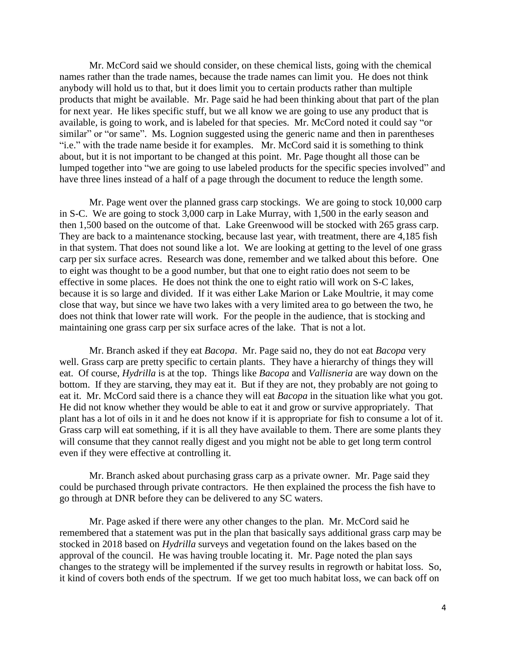Mr. McCord said we should consider, on these chemical lists, going with the chemical names rather than the trade names, because the trade names can limit you. He does not think anybody will hold us to that, but it does limit you to certain products rather than multiple products that might be available. Mr. Page said he had been thinking about that part of the plan for next year. He likes specific stuff, but we all know we are going to use any product that is available, is going to work, and is labeled for that species. Mr. McCord noted it could say "or similar" or "or same". Ms. Lognion suggested using the generic name and then in parentheses "i.e." with the trade name beside it for examples. Mr. McCord said it is something to think about, but it is not important to be changed at this point. Mr. Page thought all those can be lumped together into "we are going to use labeled products for the specific species involved" and have three lines instead of a half of a page through the document to reduce the length some.

Mr. Page went over the planned grass carp stockings. We are going to stock 10,000 carp in S-C. We are going to stock 3,000 carp in Lake Murray, with 1,500 in the early season and then 1,500 based on the outcome of that. Lake Greenwood will be stocked with 265 grass carp. They are back to a maintenance stocking, because last year, with treatment, there are 4,185 fish in that system. That does not sound like a lot. We are looking at getting to the level of one grass carp per six surface acres. Research was done, remember and we talked about this before. One to eight was thought to be a good number, but that one to eight ratio does not seem to be effective in some places. He does not think the one to eight ratio will work on S-C lakes, because it is so large and divided. If it was either Lake Marion or Lake Moultrie, it may come close that way, but since we have two lakes with a very limited area to go between the two, he does not think that lower rate will work. For the people in the audience, that is stocking and maintaining one grass carp per six surface acres of the lake. That is not a lot.

Mr. Branch asked if they eat *Bacopa*. Mr. Page said no, they do not eat *Bacopa* very well. Grass carp are pretty specific to certain plants. They have a hierarchy of things they will eat. Of course, *Hydrilla* is at the top. Things like *Bacopa* and *Vallisneria* are way down on the bottom. If they are starving, they may eat it. But if they are not, they probably are not going to eat it. Mr. McCord said there is a chance they will eat *Bacopa* in the situation like what you got. He did not know whether they would be able to eat it and grow or survive appropriately. That plant has a lot of oils in it and he does not know if it is appropriate for fish to consume a lot of it. Grass carp will eat something, if it is all they have available to them. There are some plants they will consume that they cannot really digest and you might not be able to get long term control even if they were effective at controlling it.

Mr. Branch asked about purchasing grass carp as a private owner. Mr. Page said they could be purchased through private contractors. He then explained the process the fish have to go through at DNR before they can be delivered to any SC waters.

Mr. Page asked if there were any other changes to the plan. Mr. McCord said he remembered that a statement was put in the plan that basically says additional grass carp may be stocked in 2018 based on *Hydrilla* surveys and vegetation found on the lakes based on the approval of the council. He was having trouble locating it. Mr. Page noted the plan says changes to the strategy will be implemented if the survey results in regrowth or habitat loss. So, it kind of covers both ends of the spectrum. If we get too much habitat loss, we can back off on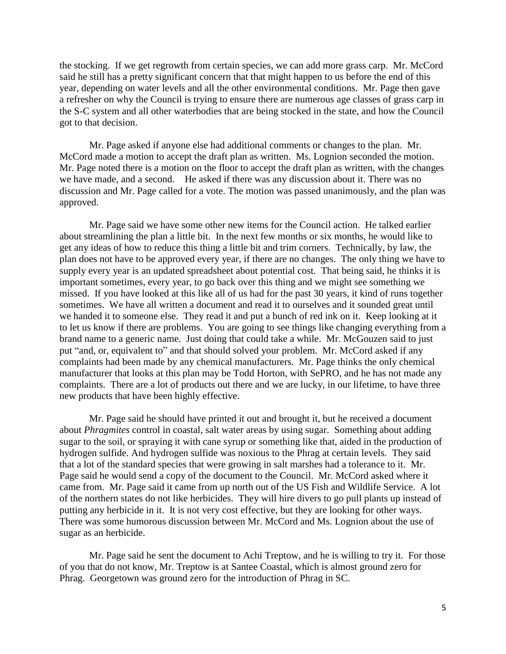the stocking. If we get regrowth from certain species, we can add more grass carp. Mr. McCord said he still has a pretty significant concern that that might happen to us before the end of this year, depending on water levels and all the other environmental conditions. Mr. Page then gave a refresher on why the Council is trying to ensure there are numerous age classes of grass carp in the S-C system and all other waterbodies that are being stocked in the state, and how the Council got to that decision.

Mr. Page asked if anyone else had additional comments or changes to the plan. Mr. McCord made a motion to accept the draft plan as written. Ms. Lognion seconded the motion. Mr. Page noted there is a motion on the floor to accept the draft plan as written, with the changes we have made, and a second. He asked if there was any discussion about it. There was no discussion and Mr. Page called for a vote. The motion was passed unanimously, and the plan was approved.

Mr. Page said we have some other new items for the Council action. He talked earlier about streamlining the plan a little bit. In the next few months or six months, he would like to get any ideas of how to reduce this thing a little bit and trim corners. Technically, by law, the plan does not have to be approved every year, if there are no changes. The only thing we have to supply every year is an updated spreadsheet about potential cost. That being said, he thinks it is important sometimes, every year, to go back over this thing and we might see something we missed. If you have looked at this like all of us had for the past 30 years, it kind of runs together sometimes. We have all written a document and read it to ourselves and it sounded great until we handed it to someone else. They read it and put a bunch of red ink on it. Keep looking at it to let us know if there are problems. You are going to see things like changing everything from a brand name to a generic name. Just doing that could take a while. Mr. McGouzen said to just put "and, or, equivalent to" and that should solved your problem. Mr. McCord asked if any complaints had been made by any chemical manufacturers. Mr. Page thinks the only chemical manufacturer that looks at this plan may be Todd Horton, with SePRO, and he has not made any complaints. There are a lot of products out there and we are lucky, in our lifetime, to have three new products that have been highly effective.

Mr. Page said he should have printed it out and brought it, but he received a document about *Phragmites* control in coastal, salt water areas by using sugar. Something about adding sugar to the soil, or spraying it with cane syrup or something like that, aided in the production of hydrogen sulfide. And hydrogen sulfide was noxious to the Phrag at certain levels. They said that a lot of the standard species that were growing in salt marshes had a tolerance to it. Mr. Page said he would send a copy of the document to the Council. Mr. McCord asked where it came from. Mr. Page said it came from up north out of the US Fish and Wildlife Service. A lot of the northern states do not like herbicides. They will hire divers to go pull plants up instead of putting any herbicide in it. It is not very cost effective, but they are looking for other ways. There was some humorous discussion between Mr. McCord and Ms. Lognion about the use of sugar as an herbicide.

Mr. Page said he sent the document to Achi Treptow, and he is willing to try it. For those of you that do not know, Mr. Treptow is at Santee Coastal, which is almost ground zero for Phrag. Georgetown was ground zero for the introduction of Phrag in SC.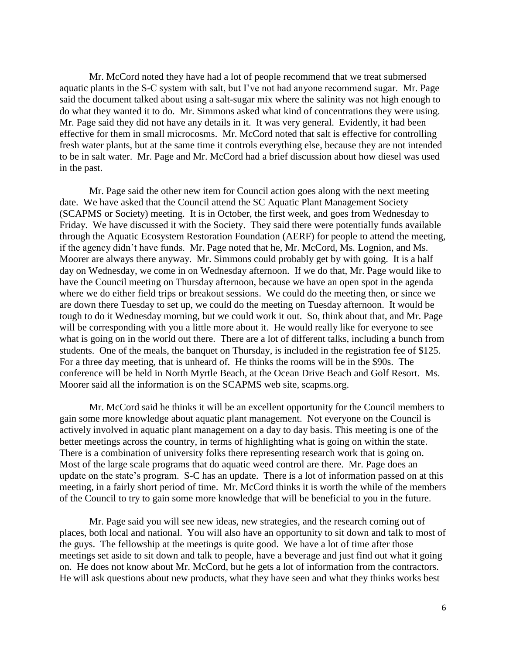Mr. McCord noted they have had a lot of people recommend that we treat submersed aquatic plants in the S-C system with salt, but I've not had anyone recommend sugar. Mr. Page said the document talked about using a salt-sugar mix where the salinity was not high enough to do what they wanted it to do. Mr. Simmons asked what kind of concentrations they were using. Mr. Page said they did not have any details in it. It was very general. Evidently, it had been effective for them in small microcosms. Mr. McCord noted that salt is effective for controlling fresh water plants, but at the same time it controls everything else, because they are not intended to be in salt water. Mr. Page and Mr. McCord had a brief discussion about how diesel was used in the past.

Mr. Page said the other new item for Council action goes along with the next meeting date. We have asked that the Council attend the SC Aquatic Plant Management Society (SCAPMS or Society) meeting. It is in October, the first week, and goes from Wednesday to Friday. We have discussed it with the Society. They said there were potentially funds available through the Aquatic Ecosystem Restoration Foundation (AERF) for people to attend the meeting, if the agency didn't have funds. Mr. Page noted that he, Mr. McCord, Ms. Lognion, and Ms. Moorer are always there anyway. Mr. Simmons could probably get by with going. It is a half day on Wednesday, we come in on Wednesday afternoon. If we do that, Mr. Page would like to have the Council meeting on Thursday afternoon, because we have an open spot in the agenda where we do either field trips or breakout sessions. We could do the meeting then, or since we are down there Tuesday to set up, we could do the meeting on Tuesday afternoon. It would be tough to do it Wednesday morning, but we could work it out. So, think about that, and Mr. Page will be corresponding with you a little more about it. He would really like for everyone to see what is going on in the world out there. There are a lot of different talks, including a bunch from students. One of the meals, the banquet on Thursday, is included in the registration fee of \$125. For a three day meeting, that is unheard of. He thinks the rooms will be in the \$90s. The conference will be held in North Myrtle Beach, at the Ocean Drive Beach and Golf Resort. Ms. Moorer said all the information is on the SCAPMS web site, scapms.org.

Mr. McCord said he thinks it will be an excellent opportunity for the Council members to gain some more knowledge about aquatic plant management. Not everyone on the Council is actively involved in aquatic plant management on a day to day basis. This meeting is one of the better meetings across the country, in terms of highlighting what is going on within the state. There is a combination of university folks there representing research work that is going on. Most of the large scale programs that do aquatic weed control are there. Mr. Page does an update on the state's program. S-C has an update. There is a lot of information passed on at this meeting, in a fairly short period of time. Mr. McCord thinks it is worth the while of the members of the Council to try to gain some more knowledge that will be beneficial to you in the future.

Mr. Page said you will see new ideas, new strategies, and the research coming out of places, both local and national. You will also have an opportunity to sit down and talk to most of the guys. The fellowship at the meetings is quite good. We have a lot of time after those meetings set aside to sit down and talk to people, have a beverage and just find out what it going on. He does not know about Mr. McCord, but he gets a lot of information from the contractors. He will ask questions about new products, what they have seen and what they thinks works best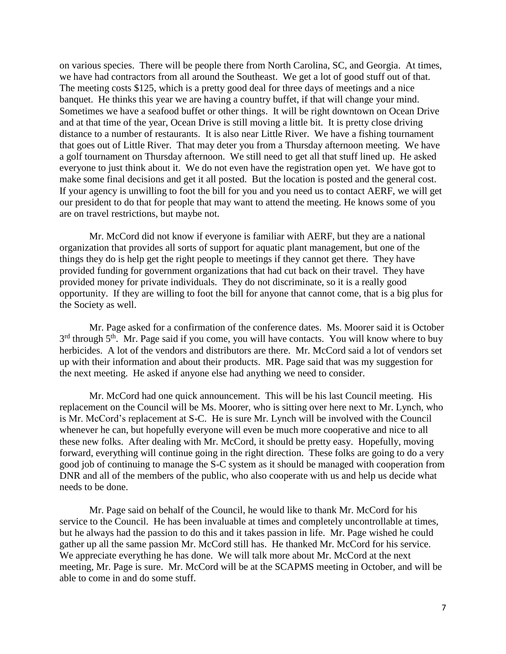on various species. There will be people there from North Carolina, SC, and Georgia. At times, we have had contractors from all around the Southeast. We get a lot of good stuff out of that. The meeting costs \$125, which is a pretty good deal for three days of meetings and a nice banquet. He thinks this year we are having a country buffet, if that will change your mind. Sometimes we have a seafood buffet or other things. It will be right downtown on Ocean Drive and at that time of the year, Ocean Drive is still moving a little bit. It is pretty close driving distance to a number of restaurants. It is also near Little River. We have a fishing tournament that goes out of Little River. That may deter you from a Thursday afternoon meeting. We have a golf tournament on Thursday afternoon. We still need to get all that stuff lined up. He asked everyone to just think about it. We do not even have the registration open yet. We have got to make some final decisions and get it all posted. But the location is posted and the general cost. If your agency is unwilling to foot the bill for you and you need us to contact AERF, we will get our president to do that for people that may want to attend the meeting. He knows some of you are on travel restrictions, but maybe not.

Mr. McCord did not know if everyone is familiar with AERF, but they are a national organization that provides all sorts of support for aquatic plant management, but one of the things they do is help get the right people to meetings if they cannot get there. They have provided funding for government organizations that had cut back on their travel. They have provided money for private individuals. They do not discriminate, so it is a really good opportunity. If they are willing to foot the bill for anyone that cannot come, that is a big plus for the Society as well.

Mr. Page asked for a confirmation of the conference dates. Ms. Moorer said it is October 3<sup>rd</sup> through 5<sup>th</sup>. Mr. Page said if you come, you will have contacts. You will know where to buy herbicides. A lot of the vendors and distributors are there. Mr. McCord said a lot of vendors set up with their information and about their products. MR. Page said that was my suggestion for the next meeting. He asked if anyone else had anything we need to consider.

Mr. McCord had one quick announcement. This will be his last Council meeting. His replacement on the Council will be Ms. Moorer, who is sitting over here next to Mr. Lynch, who is Mr. McCord's replacement at S-C. He is sure Mr. Lynch will be involved with the Council whenever he can, but hopefully everyone will even be much more cooperative and nice to all these new folks. After dealing with Mr. McCord, it should be pretty easy. Hopefully, moving forward, everything will continue going in the right direction. These folks are going to do a very good job of continuing to manage the S-C system as it should be managed with cooperation from DNR and all of the members of the public, who also cooperate with us and help us decide what needs to be done.

Mr. Page said on behalf of the Council, he would like to thank Mr. McCord for his service to the Council. He has been invaluable at times and completely uncontrollable at times, but he always had the passion to do this and it takes passion in life. Mr. Page wished he could gather up all the same passion Mr. McCord still has. He thanked Mr. McCord for his service. We appreciate everything he has done. We will talk more about Mr. McCord at the next meeting, Mr. Page is sure. Mr. McCord will be at the SCAPMS meeting in October, and will be able to come in and do some stuff.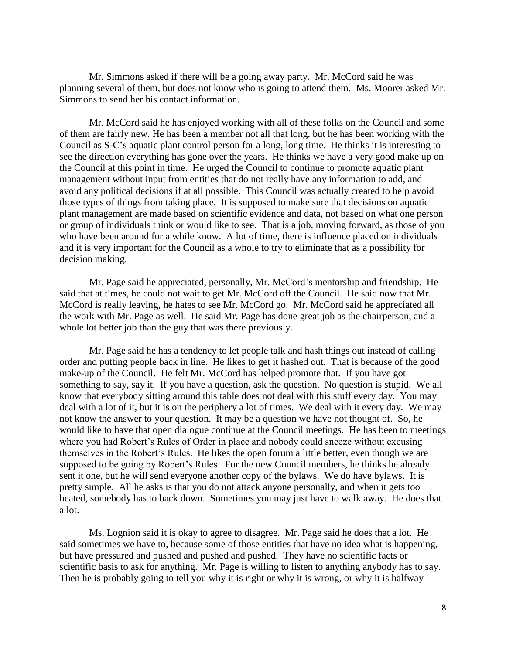Mr. Simmons asked if there will be a going away party. Mr. McCord said he was planning several of them, but does not know who is going to attend them. Ms. Moorer asked Mr. Simmons to send her his contact information.

Mr. McCord said he has enjoyed working with all of these folks on the Council and some of them are fairly new. He has been a member not all that long, but he has been working with the Council as S-C's aquatic plant control person for a long, long time. He thinks it is interesting to see the direction everything has gone over the years. He thinks we have a very good make up on the Council at this point in time. He urged the Council to continue to promote aquatic plant management without input from entities that do not really have any information to add, and avoid any political decisions if at all possible. This Council was actually created to help avoid those types of things from taking place. It is supposed to make sure that decisions on aquatic plant management are made based on scientific evidence and data, not based on what one person or group of individuals think or would like to see. That is a job, moving forward, as those of you who have been around for a while know. A lot of time, there is influence placed on individuals and it is very important for the Council as a whole to try to eliminate that as a possibility for decision making.

Mr. Page said he appreciated, personally, Mr. McCord's mentorship and friendship. He said that at times, he could not wait to get Mr. McCord off the Council. He said now that Mr. McCord is really leaving, he hates to see Mr. McCord go. Mr. McCord said he appreciated all the work with Mr. Page as well. He said Mr. Page has done great job as the chairperson, and a whole lot better job than the guy that was there previously.

Mr. Page said he has a tendency to let people talk and hash things out instead of calling order and putting people back in line. He likes to get it hashed out. That is because of the good make-up of the Council. He felt Mr. McCord has helped promote that. If you have got something to say, say it. If you have a question, ask the question. No question is stupid. We all know that everybody sitting around this table does not deal with this stuff every day. You may deal with a lot of it, but it is on the periphery a lot of times. We deal with it every day. We may not know the answer to your question. It may be a question we have not thought of. So, he would like to have that open dialogue continue at the Council meetings. He has been to meetings where you had Robert's Rules of Order in place and nobody could sneeze without excusing themselves in the Robert's Rules. He likes the open forum a little better, even though we are supposed to be going by Robert's Rules. For the new Council members, he thinks he already sent it one, but he will send everyone another copy of the bylaws. We do have bylaws. It is pretty simple. All he asks is that you do not attack anyone personally, and when it gets too heated, somebody has to back down. Sometimes you may just have to walk away. He does that a lot.

Ms. Lognion said it is okay to agree to disagree. Mr. Page said he does that a lot. He said sometimes we have to, because some of those entities that have no idea what is happening, but have pressured and pushed and pushed and pushed. They have no scientific facts or scientific basis to ask for anything. Mr. Page is willing to listen to anything anybody has to say. Then he is probably going to tell you why it is right or why it is wrong, or why it is halfway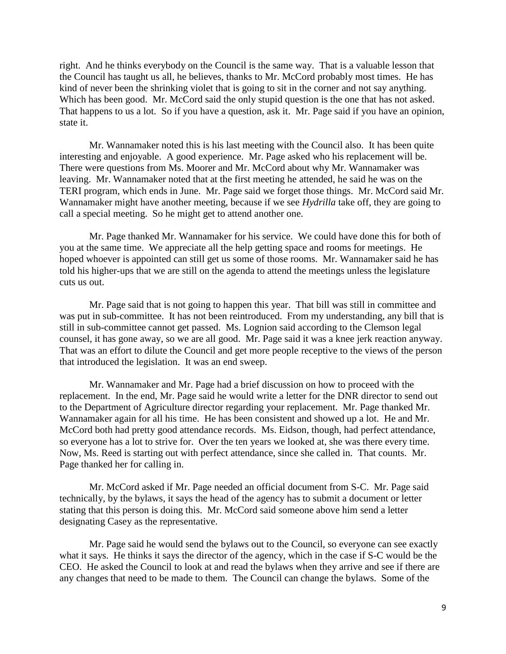right. And he thinks everybody on the Council is the same way. That is a valuable lesson that the Council has taught us all, he believes, thanks to Mr. McCord probably most times. He has kind of never been the shrinking violet that is going to sit in the corner and not say anything. Which has been good. Mr. McCord said the only stupid question is the one that has not asked. That happens to us a lot. So if you have a question, ask it. Mr. Page said if you have an opinion, state it.

Mr. Wannamaker noted this is his last meeting with the Council also. It has been quite interesting and enjoyable. A good experience. Mr. Page asked who his replacement will be. There were questions from Ms. Moorer and Mr. McCord about why Mr. Wannamaker was leaving. Mr. Wannamaker noted that at the first meeting he attended, he said he was on the TERI program, which ends in June. Mr. Page said we forget those things. Mr. McCord said Mr. Wannamaker might have another meeting, because if we see *Hydrilla* take off, they are going to call a special meeting. So he might get to attend another one.

Mr. Page thanked Mr. Wannamaker for his service. We could have done this for both of you at the same time. We appreciate all the help getting space and rooms for meetings. He hoped whoever is appointed can still get us some of those rooms. Mr. Wannamaker said he has told his higher-ups that we are still on the agenda to attend the meetings unless the legislature cuts us out.

Mr. Page said that is not going to happen this year. That bill was still in committee and was put in sub-committee. It has not been reintroduced. From my understanding, any bill that is still in sub-committee cannot get passed. Ms. Lognion said according to the Clemson legal counsel, it has gone away, so we are all good. Mr. Page said it was a knee jerk reaction anyway. That was an effort to dilute the Council and get more people receptive to the views of the person that introduced the legislation. It was an end sweep.

Mr. Wannamaker and Mr. Page had a brief discussion on how to proceed with the replacement. In the end, Mr. Page said he would write a letter for the DNR director to send out to the Department of Agriculture director regarding your replacement. Mr. Page thanked Mr. Wannamaker again for all his time. He has been consistent and showed up a lot. He and Mr. McCord both had pretty good attendance records. Ms. Eidson, though, had perfect attendance, so everyone has a lot to strive for. Over the ten years we looked at, she was there every time. Now, Ms. Reed is starting out with perfect attendance, since she called in. That counts. Mr. Page thanked her for calling in.

Mr. McCord asked if Mr. Page needed an official document from S-C. Mr. Page said technically, by the bylaws, it says the head of the agency has to submit a document or letter stating that this person is doing this. Mr. McCord said someone above him send a letter designating Casey as the representative.

Mr. Page said he would send the bylaws out to the Council, so everyone can see exactly what it says. He thinks it says the director of the agency, which in the case if S-C would be the CEO. He asked the Council to look at and read the bylaws when they arrive and see if there are any changes that need to be made to them. The Council can change the bylaws. Some of the